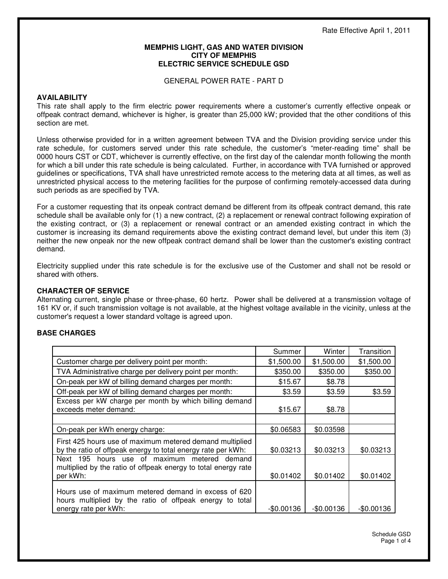#### **MEMPHIS LIGHT, GAS AND WATER DIVISION CITY OF MEMPHIS ELECTRIC SERVICE SCHEDULE GSD**

GENERAL POWER RATE - PART D

#### **AVAILABILITY**

This rate shall apply to the firm electric power requirements where a customer's currently effective onpeak or offpeak contract demand, whichever is higher, is greater than 25,000 kW; provided that the other conditions of this section are met.

Unless otherwise provided for in a written agreement between TVA and the Division providing service under this rate schedule, for customers served under this rate schedule, the customer's "meter-reading time" shall be 0000 hours CST or CDT, whichever is currently effective, on the first day of the calendar month following the month for which a bill under this rate schedule is being calculated. Further, in accordance with TVA furnished or approved guidelines or specifications, TVA shall have unrestricted remote access to the metering data at all times, as well as unrestricted physical access to the metering facilities for the purpose of confirming remotely-accessed data during such periods as are specified by TVA.

For a customer requesting that its onpeak contract demand be different from its offpeak contract demand, this rate schedule shall be available only for (1) a new contract, (2) a replacement or renewal contract following expiration of the existing contract, or (3) a replacement or renewal contract or an amended existing contract in which the customer is increasing its demand requirements above the existing contract demand level, but under this item (3) neither the new onpeak nor the new offpeak contract demand shall be lower than the customer's existing contract demand.

Electricity supplied under this rate schedule is for the exclusive use of the Customer and shall not be resold or shared with others.

# **CHARACTER OF SERVICE**

Alternating current, single phase or three-phase, 60 hertz. Power shall be delivered at a transmission voltage of 161 KV or, if such transmission voltage is not available, at the highest voltage available in the vicinity, unless at the customer's request a lower standard voltage is agreed upon.

# **BASE CHARGES**

|                                                                                                                                          | Summer      | Winter      | Transition  |
|------------------------------------------------------------------------------------------------------------------------------------------|-------------|-------------|-------------|
| Customer charge per delivery point per month:                                                                                            | \$1,500.00  | \$1,500.00  | \$1,500.00  |
| TVA Administrative charge per delivery point per month:                                                                                  | \$350.00    | \$350.00    | \$350.00    |
| On-peak per kW of billing demand charges per month:                                                                                      | \$15.67     | \$8.78      |             |
| Off-peak per kW of billing demand charges per month:                                                                                     | \$3.59      | \$3.59      | \$3.59      |
| Excess per kW charge per month by which billing demand<br>exceeds meter demand:                                                          | \$15.67     | \$8.78      |             |
|                                                                                                                                          |             |             |             |
| On-peak per kWh energy charge:                                                                                                           | \$0.06583   | \$0.03598   |             |
| First 425 hours use of maximum metered demand multiplied<br>by the ratio of offpeak energy to total energy rate per kWh:                 | \$0.03213   | \$0.03213   | \$0.03213   |
| Next 195 hours use of maximum metered demand<br>multiplied by the ratio of offpeak energy to total energy rate<br>per kWh:               | \$0.01402   | \$0.01402   | \$0.01402   |
| Hours use of maximum metered demand in excess of 620<br>hours multiplied by the ratio of offpeak energy to total<br>energy rate per kWh: | $-$0.00136$ | $-$0.00136$ | $-$0.00136$ |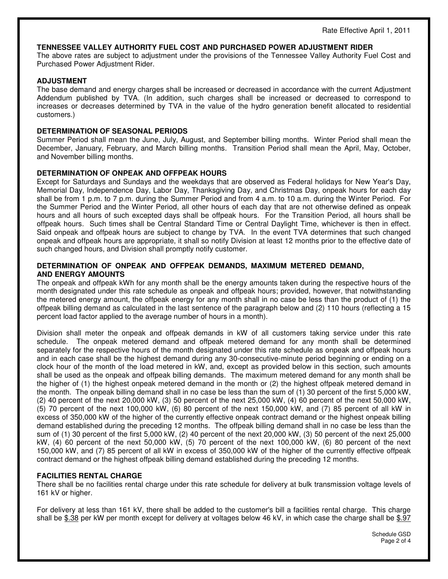#### **TENNESSEE VALLEY AUTHORITY FUEL COST AND PURCHASED POWER ADJUSTMENT RIDER**

The above rates are subject to adjustment under the provisions of the Tennessee Valley Authority Fuel Cost and Purchased Power Adjustment Rider.

## **ADJUSTMENT**

The base demand and energy charges shall be increased or decreased in accordance with the current Adjustment Addendum published by TVA. (In addition, such charges shall be increased or decreased to correspond to increases or decreases determined by TVA in the value of the hydro generation benefit allocated to residential customers.)

## **DETERMINATION OF SEASONAL PERIODS**

Summer Period shall mean the June, July, August, and September billing months. Winter Period shall mean the December, January, February, and March billing months. Transition Period shall mean the April, May, October, and November billing months.

## **DETERMINATION OF ONPEAK AND OFFPEAK HOURS**

Except for Saturdays and Sundays and the weekdays that are observed as Federal holidays for New Year's Day, Memorial Day, Independence Day, Labor Day, Thanksgiving Day, and Christmas Day, onpeak hours for each day shall be from 1 p.m. to 7 p.m. during the Summer Period and from 4 a.m. to 10 a.m. during the Winter Period. For the Summer Period and the Winter Period, all other hours of each day that are not otherwise defined as onpeak hours and all hours of such excepted days shall be offpeak hours. For the Transition Period, all hours shall be offpeak hours. Such times shall be Central Standard Time or Central Daylight Time, whichever is then in effect. Said onpeak and offpeak hours are subject to change by TVA. In the event TVA determines that such changed onpeak and offpeak hours are appropriate, it shall so notify Division at least 12 months prior to the effective date of such changed hours, and Division shall promptly notify customer.

## **DETERMINATION OF ONPEAK AND OFFPEAK DEMANDS, MAXIMUM METERED DEMAND, AND ENERGY AMOUNTS**

The onpeak and offpeak kWh for any month shall be the energy amounts taken during the respective hours of the month designated under this rate schedule as onpeak and offpeak hours; provided, however, that notwithstanding the metered energy amount, the offpeak energy for any month shall in no case be less than the product of (1) the offpeak billing demand as calculated in the last sentence of the paragraph below and (2) 110 hours (reflecting a 15 percent load factor applied to the average number of hours in a month).

Division shall meter the onpeak and offpeak demands in kW of all customers taking service under this rate schedule. The onpeak metered demand and offpeak metered demand for any month shall be determined separately for the respective hours of the month designated under this rate schedule as onpeak and offpeak hours and in each case shall be the highest demand during any 30-consecutive-minute period beginning or ending on a clock hour of the month of the load metered in kW, and, except as provided below in this section, such amounts shall be used as the onpeak and offpeak billing demands. The maximum metered demand for any month shall be the higher of (1) the highest onpeak metered demand in the month or (2) the highest offpeak metered demand in the month. The onpeak billing demand shall in no case be less than the sum of (1) 30 percent of the first 5,000 kW, (2) 40 percent of the next 20,000 kW, (3) 50 percent of the next 25,000 kW, (4) 60 percent of the next 50,000 kW, (5) 70 percent of the next 100,000 kW, (6) 80 percent of the next 150,000 kW, and (7) 85 percent of all kW in excess of 350,000 kW of the higher of the currently effective onpeak contract demand or the highest onpeak billing demand established during the preceding 12 months. The offpeak billing demand shall in no case be less than the sum of (1) 30 percent of the first 5,000 kW, (2) 40 percent of the next 20,000 kW, (3) 50 percent of the next 25,000 kW, (4) 60 percent of the next 50,000 kW, (5) 70 percent of the next 100,000 kW, (6) 80 percent of the next 150,000 kW, and (7) 85 percent of all kW in excess of 350,000 kW of the higher of the currently effective offpeak contract demand or the highest offpeak billing demand established during the preceding 12 months.

# **FACILITIES RENTAL CHARGE**

There shall be no facilities rental charge under this rate schedule for delivery at bulk transmission voltage levels of 161 kV or higher.

For delivery at less than 161 kV, there shall be added to the customer's bill a facilities rental charge. This charge shall be \$.38 per kW per month except for delivery at voltages below 46 kV, in which case the charge shall be \$.97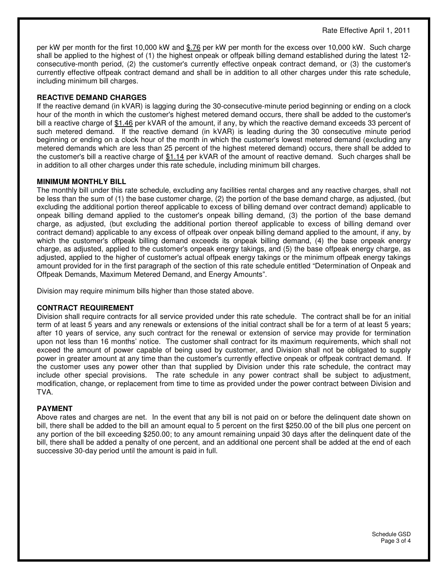per kW per month for the first 10,000 kW and \$.76 per kW per month for the excess over 10,000 kW. Such charge shall be applied to the highest of (1) the highest onpeak or offpeak billing demand established during the latest 12 consecutive-month period, (2) the customer's currently effective onpeak contract demand, or (3) the customer's currently effective offpeak contract demand and shall be in addition to all other charges under this rate schedule, including minimum bill charges.

## **REACTIVE DEMAND CHARGES**

If the reactive demand (in kVAR) is lagging during the 30-consecutive-minute period beginning or ending on a clock hour of the month in which the customer's highest metered demand occurs, there shall be added to the customer's bill a reactive charge of \$1.46 per kVAR of the amount, if any, by which the reactive demand exceeds 33 percent of such metered demand. If the reactive demand (in kVAR) is leading during the 30 consecutive minute period beginning or ending on a clock hour of the month in which the customer's lowest metered demand (excluding any metered demands which are less than 25 percent of the highest metered demand) occurs, there shall be added to the customer's bill a reactive charge of \$1.14 per kVAR of the amount of reactive demand. Such charges shall be in addition to all other charges under this rate schedule, including minimum bill charges.

## **MINIMUM MONTHLY BILL**

The monthly bill under this rate schedule, excluding any facilities rental charges and any reactive charges, shall not be less than the sum of (1) the base customer charge, (2) the portion of the base demand charge, as adjusted, (but excluding the additional portion thereof applicable to excess of billing demand over contract demand) applicable to onpeak billing demand applied to the customer's onpeak billing demand, (3) the portion of the base demand charge, as adjusted, (but excluding the additional portion thereof applicable to excess of billing demand over contract demand) applicable to any excess of offpeak over onpeak billing demand applied to the amount, if any, by which the customer's offpeak billing demand exceeds its onpeak billing demand, (4) the base onpeak energy charge, as adjusted, applied to the customer's onpeak energy takings, and (5) the base offpeak energy charge, as adjusted, applied to the higher of customer's actual offpeak energy takings or the minimum offpeak energy takings amount provided for in the first paragraph of the section of this rate schedule entitled "Determination of Onpeak and Offpeak Demands, Maximum Metered Demand, and Energy Amounts".

Division may require minimum bills higher than those stated above.

#### **CONTRACT REQUIREMENT**

Division shall require contracts for all service provided under this rate schedule. The contract shall be for an initial term of at least 5 years and any renewals or extensions of the initial contract shall be for a term of at least 5 years; after 10 years of service, any such contract for the renewal or extension of service may provide for termination upon not less than 16 months' notice. The customer shall contract for its maximum requirements, which shall not exceed the amount of power capable of being used by customer, and Division shall not be obligated to supply power in greater amount at any time than the customer's currently effective onpeak or offpeak contract demand. If the customer uses any power other than that supplied by Division under this rate schedule, the contract may include other special provisions. The rate schedule in any power contract shall be subject to adjustment, modification, change, or replacement from time to time as provided under the power contract between Division and TVA.

# **PAYMENT**

Above rates and charges are net. In the event that any bill is not paid on or before the delinquent date shown on bill, there shall be added to the bill an amount equal to 5 percent on the first \$250.00 of the bill plus one percent on any portion of the bill exceeding \$250.00; to any amount remaining unpaid 30 days after the delinquent date of the bill, there shall be added a penalty of one percent, and an additional one percent shall be added at the end of each successive 30-day period until the amount is paid in full.